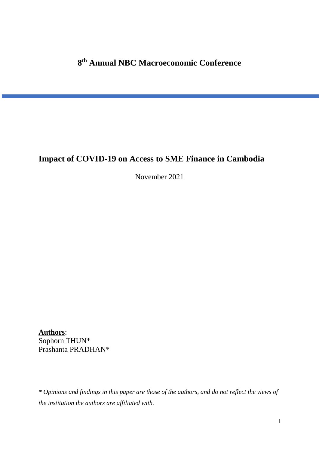## **8 th Annual NBC Macroeconomic Conference**

# **Impact of COVID-19 on Access to SME Finance in Cambodia**

November 2021

**Authors**: Sophorn THUN\* Prashanta PRADHAN\*

*\* Opinions and findings in this paper are those of the authors, and do not reflect the views of the institution the authors are affiliated with.*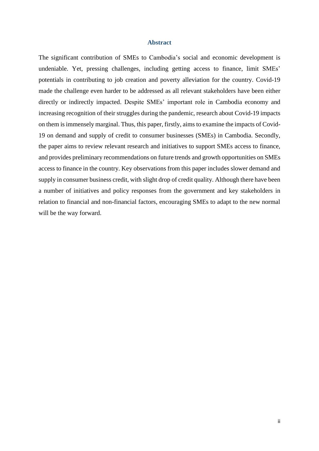#### **Abstract**

The significant contribution of SMEs to Cambodia's social and economic development is undeniable. Yet, pressing challenges, including getting access to finance, limit SMEs' potentials in contributing to job creation and poverty alleviation for the country. Covid-19 made the challenge even harder to be addressed as all relevant stakeholders have been either directly or indirectly impacted. Despite SMEs' important role in Cambodia economy and increasing recognition of their struggles during the pandemic, research about Covid-19 impacts on them is immensely marginal. Thus, this paper, firstly, aims to examine the impacts of Covid-19 on demand and supply of credit to consumer businesses (SMEs) in Cambodia. Secondly, the paper aims to review relevant research and initiatives to support SMEs access to finance, and provides preliminary recommendations on future trends and growth opportunities on SMEs access to finance in the country. Key observations from this paper includes slower demand and supply in consumer business credit, with slight drop of credit quality. Although there have been a number of initiatives and policy responses from the government and key stakeholders in relation to financial and non-financial factors, encouraging SMEs to adapt to the new normal will be the way forward.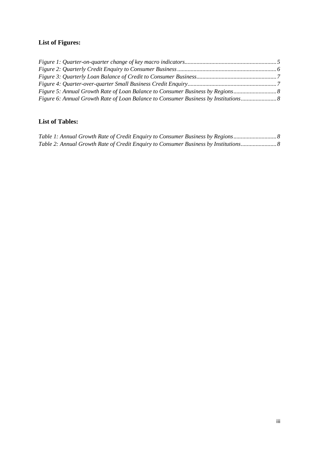## **List of Figures:**

| Figure 5: Annual Growth Rate of Loan Balance to Consumer Business by Regions      |  |
|-----------------------------------------------------------------------------------|--|
| Figure 6: Annual Growth Rate of Loan Balance to Consumer Business by Institutions |  |

## **List of Tables:**

|  |  | Table 1: Annual Growth Rate of Credit Enquiry to Consumer Business by Regions      |  |
|--|--|------------------------------------------------------------------------------------|--|
|  |  | Table 2: Annual Growth Rate of Credit Enquiry to Consumer Business by Institutions |  |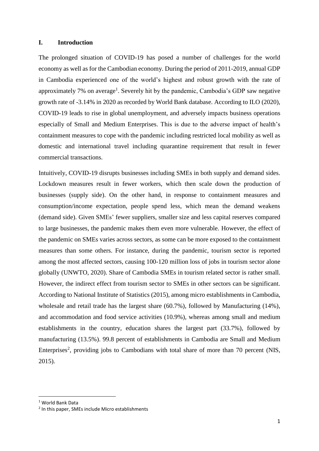#### **I. Introduction**

The prolonged situation of COVID-19 has posed a number of challenges for the world economy as well as for the Cambodian economy. During the period of 2011-2019, annual GDP in Cambodia experienced one of the world's highest and robust growth with the rate of approximately 7% on average<sup>1</sup>. Severely hit by the pandemic, Cambodia's GDP saw negative growth rate of -3.14% in 2020 as recorded by World Bank database. According to ILO (2020), COVID-19 leads to rise in global unemployment, and adversely impacts business operations especially of Small and Medium Enterprises. This is due to the adverse impact of health's containment measures to cope with the pandemic including restricted local mobility as well as domestic and international travel including quarantine requirement that result in fewer commercial transactions.

Intuitively, COVID-19 disrupts businesses including SMEs in both supply and demand sides. Lockdown measures result in fewer workers, which then scale down the production of businesses (supply side). On the other hand, in response to containment measures and consumption/income expectation, people spend less, which mean the demand weakens (demand side). Given SMEs' fewer suppliers, smaller size and less capital reserves compared to large businesses, the pandemic makes them even more vulnerable. However, the effect of the pandemic on SMEs varies across sectors, as some can be more exposed to the containment measures than some others. For instance, during the pandemic, tourism sector is reported among the most affected sectors, causing 100-120 million loss of jobs in tourism sector alone globally (UNWTO, 2020). Share of Cambodia SMEs in tourism related sector is rather small. However, the indirect effect from tourism sector to SMEs in other sectors can be significant. According to National Institute of Statistics (2015), among micro establishments in Cambodia, wholesale and retail trade has the largest share (60.7%), followed by Manufacturing (14%), and accommodation and food service activities (10.9%), whereas among small and medium establishments in the country, education shares the largest part (33.7%), followed by manufacturing (13.5%). 99.8 percent of establishments in Cambodia are Small and Medium Enterprises<sup>2</sup>, providing jobs to Cambodians with total share of more than 70 percent (NIS, 2015).

**.** 

<sup>1</sup> World Bank Data

<sup>&</sup>lt;sup>2</sup> In this paper, SMEs include Micro establishments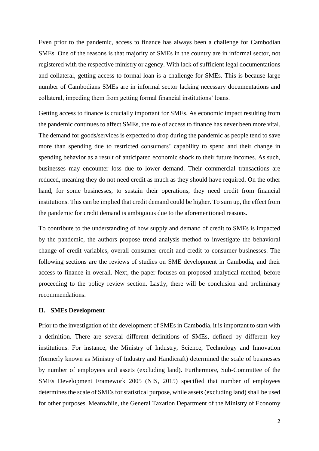Even prior to the pandemic, access to finance has always been a challenge for Cambodian SMEs. One of the reasons is that majority of SMEs in the country are in informal sector, not registered with the respective ministry or agency. With lack of sufficient legal documentations and collateral, getting access to formal loan is a challenge for SMEs. This is because large number of Cambodians SMEs are in informal sector lacking necessary documentations and collateral, impeding them from getting formal financial institutions' loans.

Getting access to finance is crucially important for SMEs. As economic impact resulting from the pandemic continues to affect SMEs, the role of access to finance has never been more vital. The demand for goods/services is expected to drop during the pandemic as people tend to save more than spending due to restricted consumers' capability to spend and their change in spending behavior as a result of anticipated economic shock to their future incomes. As such, businesses may encounter loss due to lower demand. Their commercial transactions are reduced, meaning they do not need credit as much as they should have required. On the other hand, for some businesses, to sustain their operations, they need credit from financial institutions. This can be implied that credit demand could be higher. To sum up, the effect from the pandemic for credit demand is ambiguous due to the aforementioned reasons.

To contribute to the understanding of how supply and demand of credit to SMEs is impacted by the pandemic, the authors propose trend analysis method to investigate the behavioral change of credit variables, overall consumer credit and credit to consumer businesses. The following sections are the reviews of studies on SME development in Cambodia, and their access to finance in overall. Next, the paper focuses on proposed analytical method, before proceeding to the policy review section. Lastly, there will be conclusion and preliminary recommendations.

#### **II. SMEs Development**

Prior to the investigation of the development of SMEs in Cambodia, it is important to start with a definition. There are several different definitions of SMEs, defined by different key institutions. For instance, the Ministry of Industry, Science, Technology and Innovation (formerly known as Ministry of Industry and Handicraft) determined the scale of businesses by number of employees and assets (excluding land). Furthermore, Sub-Committee of the SMEs Development Framework 2005 (NIS, 2015) specified that number of employees determines the scale of SMEs for statistical purpose, while assets (excluding land) shall be used for other purposes. Meanwhile, the General Taxation Department of the Ministry of Economy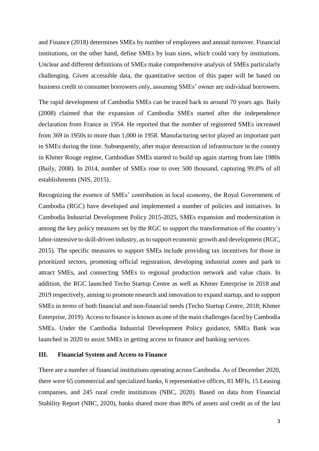and Finance (2018) determines SMEs by number of employees and annual turnover. Financial institutions, on the other hand, define SMEs by loan sizes, which could vary by institutions. Unclear and different definitions of SMEs make comprehensive analysis of SMEs particularly challenging. Given accessible data, the quantitative section of this paper will be based on business credit to consumer borrowers only, assuming SMEs' owner are individual borrowers.

The rapid development of Cambodia SMEs can be traced back to around 70 years ago. Baily (2008) claimed that the expansion of Cambodia SMEs started after the independence declaration from France in 1954. He reported that the number of registered SMEs increased from 369 in 1950s to more than 1,000 in 1958. Manufacturing sector played an important part in SMEs during the time. Subsequently, after major destruction of infrastructure in the country in Khmer Rouge regime, Cambodian SMEs started to build up again starting from late 1980s (Baily, 2008). In 2014, number of SMEs rose to over 500 thousand, capturing 99.8% of all establishments (NIS, 2015).

Recognizing the essence of SMEs' contribution in local economy, the Royal Government of Cambodia (RGC) have developed and implemented a number of policies and initiatives. In Cambodia Industrial Development Policy 2015-2025, SMEs expansion and modernization is among the key policy measures set by the RGC to support the transformation of the country's labor-intensive to skill-driven industry, as to support economic growth and development (RGC, 2015). The specific measures to support SMEs include providing tax incentives for those in prioritized sectors, promoting official registration, developing industrial zones and park to attract SMEs, and connecting SMEs to regional production network and value chain. In addition, the RGC launched Techo Startup Centre as well as Khmer Enterprise in 2018 and 2019 respectively, aiming to promote research and innovation to expand startup, and to support SMEs in terms of both financial and non-financial needs (Techo Startup Centre, 2018; Khmer Enterprise, 2019). Access to finance is known as one of the main challenges faced by Cambodia SMEs. Under the Cambodia Industrial Development Policy guidance, SMEs Bank was launched in 2020 to assist SMEs in getting access to finance and banking services.

### **III. Financial System and Access to Finance**

There are a number of financial institutions operating across Cambodia. As of December 2020, there were 65 commercial and specialized banks, 6 representative offices, 81 MFIs, 15 Leasing companies, and 245 rural credit institutions (NBC, 2020). Based on data from Financial Stability Report (NBC, 2020), banks shared more than 80% of assets and credit as of the last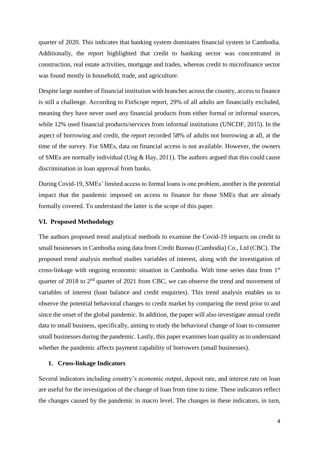quarter of 2020. This indicates that banking system dominates financial system in Cambodia. Additionally, the report highlighted that credit to banking sector was concentrated in construction, real estate activities, mortgage and trades, whereas credit to microfinance sector was found mostly in household, trade, and agriculture.

Despite large number of financial institution with branches across the country, access to finance is still a challenge. According to FinScope report, 29% of all adults are financially excluded, meaning they have never used any financial products from either formal or informal sources, while 12% used financial products/services from informal institutions (UNCDF, 2015). In the aspect of borrowing and credit, the report recorded 58% of adults not borrowing at all, at the time of the survey. For SMEs, data on financial access is not available. However, the owners of SMEs are normally individual (Ung & Hay, 2011). The authors argued that this could cause discrimination in loan approval from banks.

During Covid-19, SMEs' limited access to formal loans is one problem, another is the potential impact that the pandemic imposed on access to finance for those SMEs that are already formally covered. To understand the latter is the scope of this paper.

### **VI. Proposed Methodology**

The authors proposed trend analytical methods to examine the Covid-19 impacts on credit to small businesses in Cambodia using data from Credit Bureau (Cambodia) Co., Ltd (CBC). The proposed trend analysis method studies variables of interest, along with the investigation of cross-linkage with ongoing economic situation in Cambodia. With time series data from 1st quarter of 2018 to  $2<sup>nd</sup>$  quarter of 2021 from CBC, we can observe the trend and movement of variables of interest (loan balance and credit enquiries). This trend analysis enables us to observe the potential behavioral changes to credit market by comparing the trend prior to and since the onset of the global pandemic. In addition, the paper will also investigate annual credit data to small business, specifically, aiming to study the behavioral change of loan to consumer small businesses during the pandemic. Lastly, this paper examines loan quality as to understand whether the pandemic affects payment capability of borrowers (small businesses).

#### **1. Cross-linkage Indicators**

Several indicators including country's economic output, deposit rate, and interest rate on loan are useful for the investigation of the change of loan from time to time. These indicators reflect the changes caused by the pandemic in macro level. The changes in these indicators, in turn,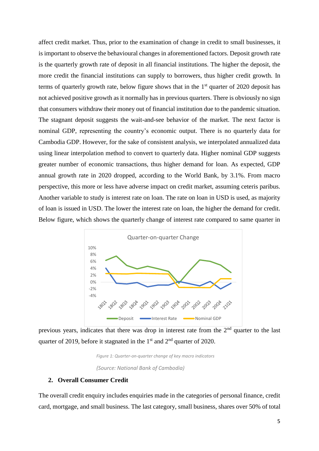affect credit market. Thus, prior to the examination of change in credit to small businesses, it is important to observe the behavioural changes in aforementioned factors. Deposit growth rate is the quarterly growth rate of deposit in all financial institutions. The higher the deposit, the more credit the financial institutions can supply to borrowers, thus higher credit growth. In terms of quarterly growth rate, below figure shows that in the  $1<sup>st</sup>$  quarter of 2020 deposit has not achieved positive growth as it normally has in previous quarters. There is obviously no sign that consumers withdraw their money out of financial institution due to the pandemic situation. The stagnant deposit suggests the wait-and-see behavior of the market. The next factor is nominal GDP, representing the country's economic output. There is no quarterly data for Cambodia GDP. However, for the sake of consistent analysis, we interpolated annualized data using linear interpolation method to convert to quarterly data. Higher nominal GDP suggests greater number of economic transactions, thus higher demand for loan. As expected, GDP annual growth rate in 2020 dropped, according to the World Bank, by 3.1%. From macro perspective, this more or less have adverse impact on credit market, assuming ceteris paribus. Another variable to study is interest rate on loan. The rate on loan in USD is used, as majority of loan is issued in USD. The lower the interest rate on loan, the higher the demand for credit. Below figure, which shows the quarterly change of interest rate compared to same quarter in



<span id="page-7-0"></span>previous years, indicates that there was drop in interest rate from the  $2<sup>nd</sup>$  quarter to the last quarter of 2019, before it stagnated in the  $1<sup>st</sup>$  and  $2<sup>nd</sup>$  quarter of 2020.

> *Figure 1: Quarter-on-quarter change of key macro indicators (Source: National Bank of Cambodia)*

### **2. Overall Consumer Credit**

The overall credit enquiry includes enquiries made in the categories of personal finance, credit card, mortgage, and small business. The last category, small business, shares over 50% of total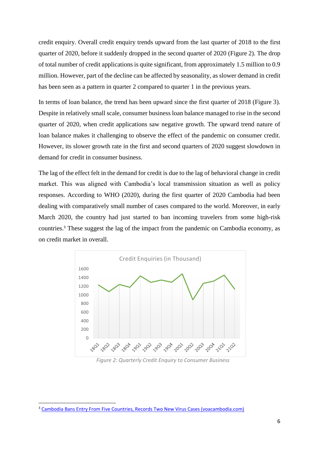credit enquiry. Overall credit enquiry trends upward from the last quarter of 2018 to the first quarter of 2020, before it suddenly dropped in the second quarter of 2020 (Figure 2). The drop of total number of credit applications is quite significant, from approximately 1.5 million to 0.9 million. However, part of the decline can be affected by seasonality, as slower demand in credit has been seen as a pattern in quarter 2 compared to quarter 1 in the previous years.

In terms of loan balance, the trend has been upward since the first quarter of 2018 (Figure 3). Despite in relatively small scale, consumer business loan balance managed to rise in the second quarter of 2020, when credit applications saw negative growth. The upward trend nature of loan balance makes it challenging to observe the effect of the pandemic on consumer credit. However, its slower growth rate in the first and second quarters of 2020 suggest slowdown in demand for credit in consumer business.

The lag of the effect felt in the demand for credit is due to the lag of behavioral change in credit market. This was aligned with Cambodia's local transmission situation as well as policy responses. According to WHO (2020), during the first quarter of 2020 Cambodia had been dealing with comparatively small number of cases compared to the world. Moreover, in early March 2020, the country had just started to ban incoming travelers from some high-risk countries.<sup>3</sup> These suggest the lag of the impact from the pandemic on Cambodia economy, as on credit market in overall.



*Figure 2: Quarterly Credit Enquiry to Consumer Business* 

<span id="page-8-0"></span>**.** 

<sup>3</sup> [Cambodia Bans Entry From Five Countries, Records Two New Virus Cases \(voacambodia.com\)](https://www.voacambodia.com/a/cambodia-bans-entry-from-five-countries-records-two-new-virus-cases-/5328738.html)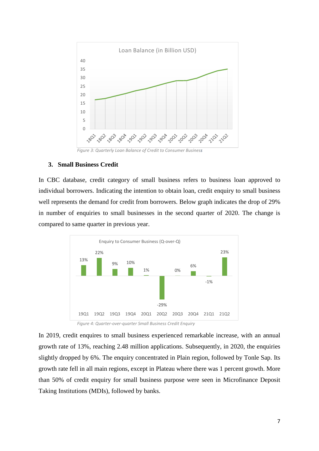

<span id="page-9-0"></span>*Figure 3: Quarterly Loan Balance of Credit to Consumer Business*

### **3. Small Business Credit**

In CBC database, credit category of small business refers to business loan approved to individual borrowers. Indicating the intention to obtain loan, credit enquiry to small business well represents the demand for credit from borrowers. Below graph indicates the drop of 29% in number of enquiries to small businesses in the second quarter of 2020. The change is compared to same quarter in previous year.



*Figure 4: Quarter-over-quarter Small Business Credit Enquiry* 

<span id="page-9-1"></span>In 2019, credit enquires to small business experienced remarkable increase, with an annual growth rate of 13%, reaching 2.48 million applications. Subsequently, in 2020, the enquiries slightly dropped by 6%. The enquiry concentrated in Plain region, followed by Tonle Sap. Its growth rate fell in all main regions, except in Plateau where there was 1 percent growth. More than 50% of credit enquiry for small business purpose were seen in Microfinance Deposit Taking Institutions (MDIs), followed by banks.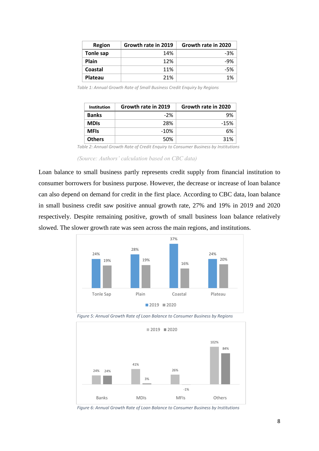| Region    | Growth rate in 2019 | Growth rate in 2020 |
|-----------|---------------------|---------------------|
| Tonle sap | 14%                 | $-3%$               |
| Plain     | 12%                 | $-9%$               |
| Coastal   | 11%                 | -5%                 |
| Plateau   | 21%                 | 1%                  |

<span id="page-10-2"></span>*Table 1: Annual Growth Rate of Small Business Credit Enquiry by Regions*

| <b>Institution</b> | Growth rate in 2019 | Growth rate in 2020 |
|--------------------|---------------------|---------------------|
| <b>Banks</b>       | $-2%$               | 9%                  |
| <b>MDIs</b>        | 28%                 | $-15%$              |
| <b>MFIs</b>        | $-10%$              | 6%                  |
| <b>Others</b>      | 50%                 | 31%                 |

*Table 2: Annual Growth Rate of Credit Enquiry to Consumer Business by Institutions*

*(Source: Authors' calculation based on CBC data)*

<span id="page-10-3"></span>Loan balance to small business partly represents credit supply from financial institution to consumer borrowers for business purpose. However, the decrease or increase of loan balance can also depend on demand for credit in the first place. According to CBC data, loan balance in small business credit saw positive annual growth rate, 27% and 19% in 2019 and 2020 respectively. Despite remaining positive, growth of small business loan balance relatively slowed. The slower growth rate was seen across the main regions, and institutions.



<span id="page-10-0"></span>*Figure 5: Annual Growth Rate of Loan Balance to Consumer Business by Regions*



<span id="page-10-1"></span>*Figure 6: Annual Growth Rate of Loan Balance to Consumer Business by Institutions*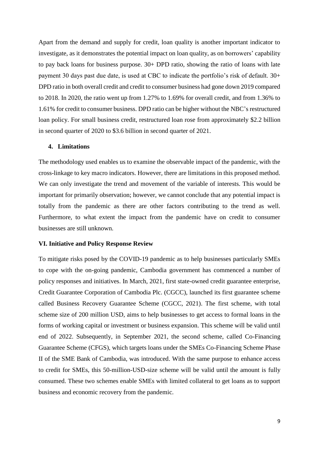Apart from the demand and supply for credit, loan quality is another important indicator to investigate, as it demonstrates the potential impact on loan quality, as on borrowers' capability to pay back loans for business purpose. 30+ DPD ratio, showing the ratio of loans with late payment 30 days past due date, is used at CBC to indicate the portfolio's risk of default. 30+ DPD ratio in both overall credit and credit to consumer business had gone down 2019 compared to 2018. In 2020, the ratio went up from 1.27% to 1.69% for overall credit, and from 1.36% to 1.61% for credit to consumer business. DPD ratio can be higher without the NBC's restructured loan policy. For small business credit, restructured loan rose from approximately \$2.2 billion in second quarter of 2020 to \$3.6 billion in second quarter of 2021.

#### **4. Limitations**

The methodology used enables us to examine the observable impact of the pandemic, with the cross-linkage to key macro indicators. However, there are limitations in this proposed method. We can only investigate the trend and movement of the variable of interests. This would be important for primarily observation; however, we cannot conclude that any potential impact is totally from the pandemic as there are other factors contributing to the trend as well. Furthermore, to what extent the impact from the pandemic have on credit to consumer businesses are still unknown.

#### **VI. Initiative and Policy Response Review**

To mitigate risks posed by the COVID-19 pandemic as to help businesses particularly SMEs to cope with the on-going pandemic, Cambodia government has commenced a number of policy responses and initiatives. In March, 2021, first state-owned credit guarantee enterprise, Credit Guarantee Corporation of Cambodia Plc. (CGCC), launched its first guarantee scheme called Business Recovery Guarantee Scheme (CGCC, 2021). The first scheme, with total scheme size of 200 million USD, aims to help businesses to get access to formal loans in the forms of working capital or investment or business expansion. This scheme will be valid until end of 2022. Subsequently, in September 2021, the second scheme, called Co-Financing Guarantee Scheme (CFGS), which targets loans under the SMEs Co-Financing Scheme Phase II of the SME Bank of Cambodia, was introduced. With the same purpose to enhance access to credit for SMEs, this 50-million-USD-size scheme will be valid until the amount is fully consumed. These two schemes enable SMEs with limited collateral to get loans as to support business and economic recovery from the pandemic.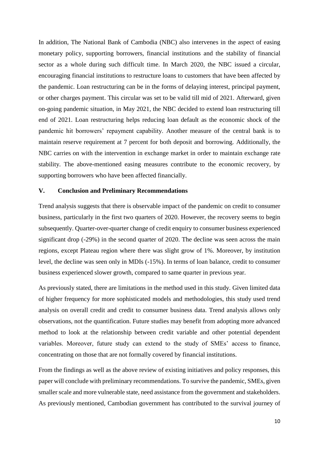In addition, The National Bank of Cambodia (NBC) also intervenes in the aspect of easing monetary policy, supporting borrowers, financial institutions and the stability of financial sector as a whole during such difficult time. In March 2020, the NBC issued a circular, encouraging financial institutions to restructure loans to customers that have been affected by the pandemic. Loan restructuring can be in the forms of delaying interest, principal payment, or other charges payment. This circular was set to be valid till mid of 2021. Afterward, given on-going pandemic situation, in May 2021, the NBC decided to extend loan restructuring till end of 2021. Loan restructuring helps reducing loan default as the economic shock of the pandemic hit borrowers' repayment capability. Another measure of the central bank is to maintain reserve requirement at 7 percent for both deposit and borrowing. Additionally, the NBC carries on with the intervention in exchange market in order to maintain exchange rate stability. The above-mentioned easing measures contribute to the economic recovery, by supporting borrowers who have been affected financially.

#### **V. Conclusion and Preliminary Recommendations**

Trend analysis suggests that there is observable impact of the pandemic on credit to consumer business, particularly in the first two quarters of 2020. However, the recovery seems to begin subsequently. Quarter-over-quarter change of credit enquiry to consumer business experienced significant drop (-29%) in the second quarter of 2020. The decline was seen across the main regions, except Plateau region where there was slight grow of 1%. Moreover, by institution level, the decline was seen only in MDIs (-15%). In terms of loan balance, credit to consumer business experienced slower growth, compared to same quarter in previous year.

As previously stated, there are limitations in the method used in this study. Given limited data of higher frequency for more sophisticated models and methodologies, this study used trend analysis on overall credit and credit to consumer business data. Trend analysis allows only observations, not the quantification. Future studies may benefit from adopting more advanced method to look at the relationship between credit variable and other potential dependent variables. Moreover, future study can extend to the study of SMEs' access to finance, concentrating on those that are not formally covered by financial institutions.

From the findings as well as the above review of existing initiatives and policy responses, this paper will conclude with preliminary recommendations. To survive the pandemic, SMEs, given smaller scale and more vulnerable state, need assistance from the government and stakeholders. As previously mentioned, Cambodian government has contributed to the survival journey of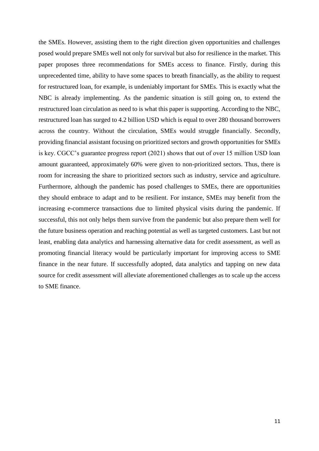the SMEs. However, assisting them to the right direction given opportunities and challenges posed would prepare SMEs well not only for survival but also for resilience in the market. This paper proposes three recommendations for SMEs access to finance. Firstly, during this unprecedented time, ability to have some spaces to breath financially, as the ability to request for restructured loan, for example, is undeniably important for SMEs. This is exactly what the NBC is already implementing. As the pandemic situation is still going on, to extend the restructured loan circulation as need to is what this paper is supporting. According to the NBC, restructured loan has surged to 4.2 billion USD which is equal to over 280 thousand borrowers across the country. Without the circulation, SMEs would struggle financially. Secondly, providing financial assistant focusing on prioritized sectors and growth opportunities for SMEs is key. CGCC's guarantee progress report (2021) shows that out of over 15 million USD loan amount guaranteed, approximately 60% were given to non-prioritized sectors. Thus, there is room for increasing the share to prioritized sectors such as industry, service and agriculture. Furthermore, although the pandemic has posed challenges to SMEs, there are opportunities they should embrace to adapt and to be resilient. For instance, SMEs may benefit from the increasing e-commerce transactions due to limited physical visits during the pandemic. If successful, this not only helps them survive from the pandemic but also prepare them well for the future business operation and reaching potential as well as targeted customers. Last but not least, enabling data analytics and harnessing alternative data for credit assessment, as well as promoting financial literacy would be particularly important for improving access to SME finance in the near future. If successfully adopted, data analytics and tapping on new data source for credit assessment will alleviate aforementioned challenges as to scale up the access to SME finance.